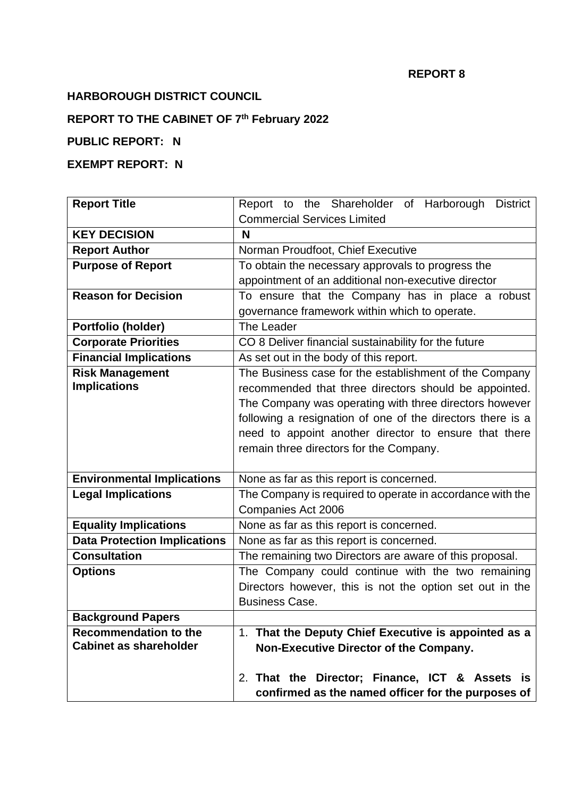#### **REPORT 8**

## **HARBOROUGH DISTRICT COUNCIL**

#### **REPORT TO THE CABINET OF 7 th February 2022**

## **PUBLIC REPORT: N**

# **EXEMPT REPORT: N**

| <b>Report Title</b>                 | Report to the Shareholder of Harborough<br><b>District</b> |
|-------------------------------------|------------------------------------------------------------|
|                                     | <b>Commercial Services Limited</b>                         |
| <b>KEY DECISION</b>                 | N                                                          |
| <b>Report Author</b>                | Norman Proudfoot, Chief Executive                          |
| <b>Purpose of Report</b>            | To obtain the necessary approvals to progress the          |
|                                     | appointment of an additional non-executive director        |
| <b>Reason for Decision</b>          | To ensure that the Company has in place a robust           |
|                                     | governance framework within which to operate.              |
| Portfolio (holder)                  | The Leader                                                 |
| <b>Corporate Priorities</b>         | CO 8 Deliver financial sustainability for the future       |
| <b>Financial Implications</b>       | As set out in the body of this report.                     |
| <b>Risk Management</b>              | The Business case for the establishment of the Company     |
| <b>Implications</b>                 | recommended that three directors should be appointed.      |
|                                     | The Company was operating with three directors however     |
|                                     | following a resignation of one of the directors there is a |
|                                     | need to appoint another director to ensure that there      |
|                                     | remain three directors for the Company.                    |
|                                     |                                                            |
| <b>Environmental Implications</b>   | None as far as this report is concerned.                   |
| <b>Legal Implications</b>           | The Company is required to operate in accordance with the  |
|                                     | Companies Act 2006                                         |
| <b>Equality Implications</b>        | None as far as this report is concerned.                   |
| <b>Data Protection Implications</b> | None as far as this report is concerned.                   |
| <b>Consultation</b>                 | The remaining two Directors are aware of this proposal.    |
| <b>Options</b>                      | The Company could continue with the two remaining          |
|                                     | Directors however, this is not the option set out in the   |
|                                     | <b>Business Case.</b>                                      |
| <b>Background Papers</b>            |                                                            |
| <b>Recommendation to the</b>        | 1. That the Deputy Chief Executive is appointed as a       |
| <b>Cabinet as shareholder</b>       | Non-Executive Director of the Company.                     |
|                                     |                                                            |
|                                     | 2. That the Director; Finance, ICT & Assets is             |
|                                     | confirmed as the named officer for the purposes of         |